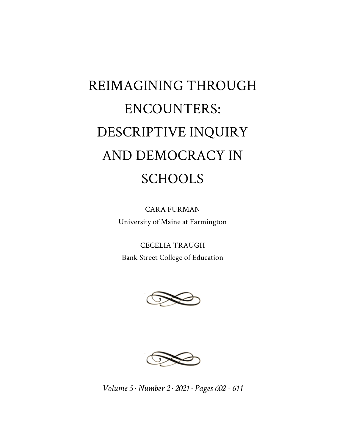## REIMAGINING THROUGH ENCOUNTERS: DESCRIPTIVE INQUIRY AND DEMOCRACY IN **SCHOOLS**

CARA FURMAN University of Maine at Farmington

CECELIA TRAUGH Bank Street College of Education





*Volume 5 · Number 2 · 2021 · Pages 602 - 611*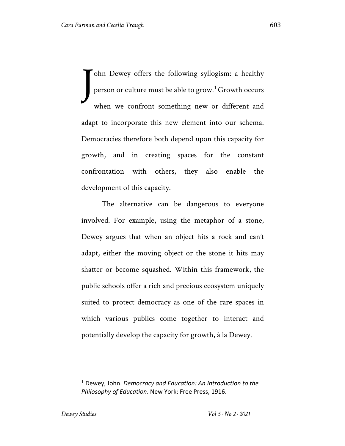ohn Dewey offers the following syllogism: a healthy person or culture must be able to grow.<sup>1</sup> Growth occurs when we confront something new or different and adapt to incorporate this new element into our schema. Democracies therefore both depend upon this capacity for growth, and in creating spaces for the constant confrontation with others, they also enable the development of this capacity. J

The alternative can be dangerous to everyone involved. For example, using the metaphor of a stone, Dewey argues that when an object hits a rock and can't adapt, either the moving object or the stone it hits may shatter or become squashed. Within this framework, the public schools offer a rich and precious ecosystem uniquely suited to protect democracy as one of the rare spaces in which various publics come together to interact and potentially develop the capacity for growth, à la Dewey.

<sup>1</sup> Dewey, John. *Democracy and Education: An Introduction to the Philosophy of Education*. New York: Free Press, 1916.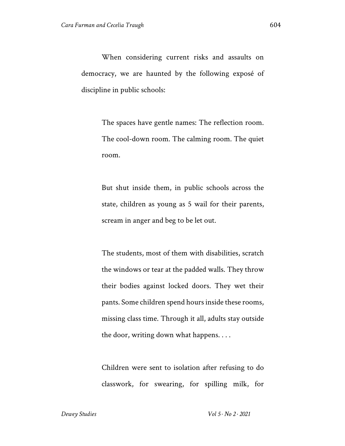When considering current risks and assaults on democracy, we are haunted by the following exposé of discipline in public schools:

> The spaces have gentle names: The reflection room. The cool-down room. The calming room. The quiet room.

> But shut inside them, in public schools across the state, children as young as 5 wail for their parents, scream in anger and beg to be let out.

> The students, most of them with disabilities, scratch the windows or tear at the padded walls. They throw their bodies against locked doors. They wet their pants. Some children spend hours inside these rooms, missing class time. Through it all, adults stay outside the door, writing down what happens. . . .

> Children were sent to isolation after refusing to do classwork, for swearing, for spilling milk, for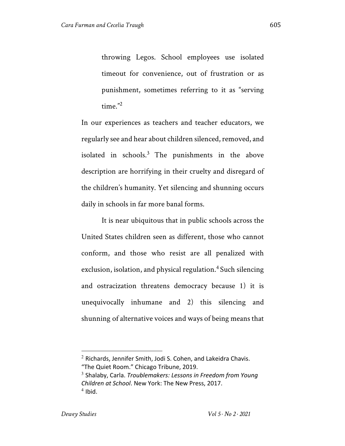throwing Legos. School employees use isolated timeout for convenience, out of frustration or as punishment, sometimes referring to it as "serving time."2

In our experiences as teachers and teacher educators, we regularly see and hear about children silenced, removed, and isolated in schools. $3$  The punishments in the above description are horrifying in their cruelty and disregard of the children's humanity. Yet silencing and shunning occurs daily in schools in far more banal forms.

It is near ubiquitous that in public schools across the United States children seen as different, those who cannot conform, and those who resist are all penalized with exclusion, isolation, and physical regulation. <sup>4</sup> Such silencing and ostracization threatens democracy because 1) it is unequivocally inhumane and 2) this silencing and shunning of alternative voices and ways of being means that

 $2$  Richards, Jennifer Smith, Jodi S. Cohen, and Lakeidra Chavis. "The Quiet Room." Chicago Tribune, 2019.

<sup>3</sup> Shalaby, Carla. *Troublemakers: Lessons in Freedom from Young Children at School*. New York: The New Press, 2017.  $4$  Ibid.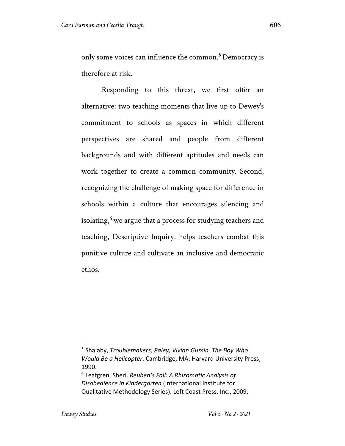only some voices can influence the common.<sup>5</sup> Democracy is therefore at risk.

Responding to this threat, we first offer an alternative: two teaching moments that live up to Dewey's commitment to schools as spaces in which different perspectives are shared and people from different backgrounds and with different aptitudes and needs can work together to create a common community. Second, recognizing the challenge of making space for difference in schools within a culture that encourages silencing and isolating, $6$  we argue that a process for studying teachers and teaching, Descriptive Inquiry, helps teachers combat this punitive culture and cultivate an inclusive and democratic ethos.

<sup>5</sup> Shalaby, *Troublemakers; Paley, Vivian Gussin. The Boy Who Would Be a Helicopter*. Cambridge, MA: Harvard University Press, 1990.

<sup>6</sup> Leafgren, Sheri. *Reuben's Fall: A Rhizomatic Analysis of Disobedience in Kindergarten* (International Institute for Qualitative Methodology Series). Left Coast Press, Inc., 2009.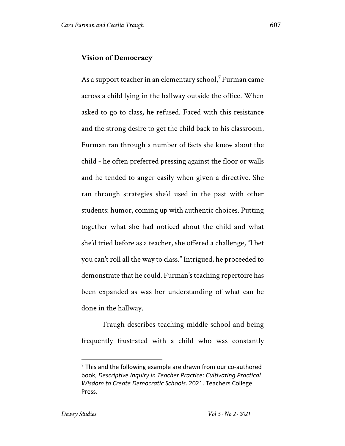## **Vision of Democracy**

As a support teacher in an elementary school,<sup>7</sup> Furman came across a child lying in the hallway outside the office. When asked to go to class, he refused. Faced with this resistance and the strong desire to get the child back to his classroom, Furman ran through a number of facts she knew about the child - he often preferred pressing against the floor or walls and he tended to anger easily when given a directive. She ran through strategies she'd used in the past with other students: humor, coming up with authentic choices. Putting together what she had noticed about the child and what she'd tried before as a teacher, she offered a challenge, "I bet you can't roll all the way to class." Intrigued, he proceeded to demonstrate that he could. Furman's teaching repertoire has been expanded as was her understanding of what can be done in the hallway.

Traugh describes teaching middle school and being frequently frustrated with a child who was constantly

 $7$  This and the following example are drawn from our co-authored book, *Descriptive Inquiry in Teacher Practice: Cultivating Practical Wisdom to Create Democratic Schools*. 2021. Teachers College Press.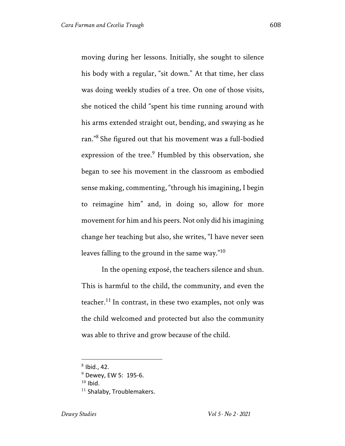moving during her lessons. Initially, she sought to silence his body with a regular, "sit down." At that time, her class was doing weekly studies of a tree. On one of those visits, she noticed the child "spent his time running around with his arms extended straight out, bending, and swaying as he ran."<sup>8</sup> She figured out that his movement was a full-bodied expression of the tree.<sup>9</sup> Humbled by this observation, she began to see his movement in the classroom as embodied sense making, commenting, "through his imagining, I begin to reimagine him" and, in doing so, allow for more movement for him and his peers. Not only did his imagining change her teaching but also, she writes, "I have never seen leaves falling to the ground in the same way."10

In the opening exposé, the teachers silence and shun. This is harmful to the child, the community, and even the teacher.<sup>11</sup> In contrast, in these two examples, not only was the child welcomed and protected but also the community was able to thrive and grow because of the child.

 $8$  Ibid., 42.

 $9$  Dewey, EW 5: 195-6.  $10$  Ibid. <sup>11</sup> Shalaby, Troublemakers.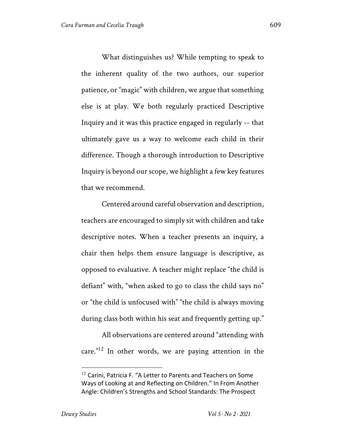What distinguishes us? While tempting to speak to the inherent quality of the two authors, our superior patience, or "magic" with children, we argue that something else is at play. We both regularly practiced Descriptive Inquiry and it was this practice engaged in regularly -- that ultimately gave us a way to welcome each child in their difference. Though a thorough introduction to Descriptive Inquiry is beyond our scope, we highlight a few key features that we recommend.

Centered around careful observation and description, teachers are encouraged to simply sit with children and take descriptive notes. When a teacher presents an inquiry, a chair then helps them ensure language is descriptive, as opposed to evaluative. A teacher might replace "the child is defiant" with, "when asked to go to class the child says no" or "the child is unfocused with" "the child is always moving during class both within his seat and frequently getting up."

All observations are centered around "attending with care."12 In other words, we are paying attention in the

<sup>&</sup>lt;sup>12</sup> Carini, Patricia F. "A Letter to Parents and Teachers on Some Ways of Looking at and Reflecting on Children." In From Another Angle: Children's Strengths and School Standards: The Prospect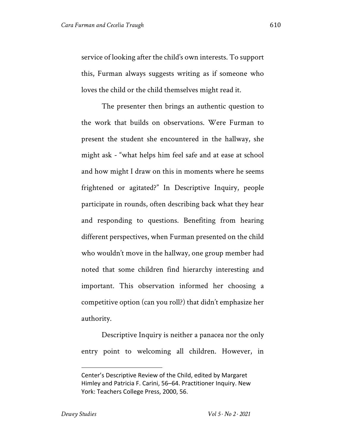service of looking after the child's own interests. To support this, Furman always suggests writing as if someone who loves the child or the child themselves might read it.

The presenter then brings an authentic question to the work that builds on observations. Were Furman to present the student she encountered in the hallway, she might ask - "what helps him feel safe and at ease at school and how might I draw on this in moments where he seems frightened or agitated?" In Descriptive Inquiry, people participate in rounds, often describing back what they hear and responding to questions. Benefiting from hearing different perspectives, when Furman presented on the child who wouldn't move in the hallway, one group member had noted that some children find hierarchy interesting and important. This observation informed her choosing a competitive option (can you roll?) that didn't emphasize her authority.

Descriptive Inquiry is neither a panacea nor the only entry point to welcoming all children. However, in

Center's Descriptive Review of the Child, edited by Margaret Himley and Patricia F. Carini, 56–64. Practitioner Inquiry. New York: Teachers College Press, 2000, 56.